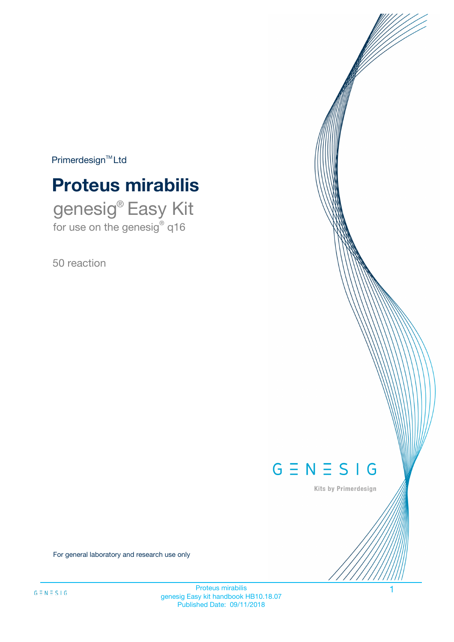$Primerdesign^{\text{TM}}Ltd$ 

# **Proteus mirabilis**

genesig® Easy Kit for use on the genesig® q16

50 reaction



Kits by Primerdesign

For general laboratory and research use only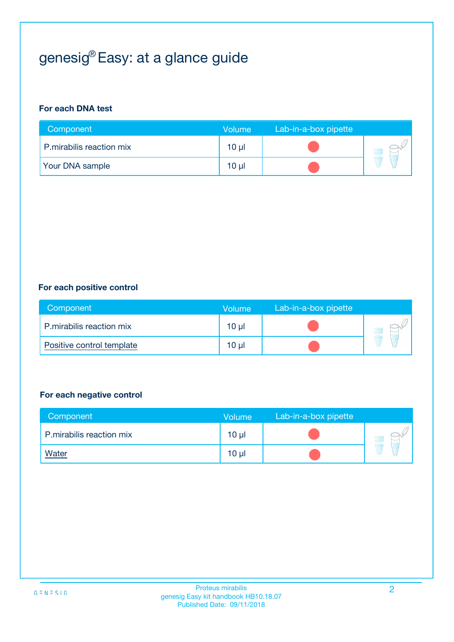# genesig® Easy: at a glance guide

#### **For each DNA test**

| Component                | <b>Volume</b> | Lab-in-a-box pipette |  |
|--------------------------|---------------|----------------------|--|
| P.mirabilis reaction mix | 10 µl         |                      |  |
| <b>Your DNA sample</b>   | 10 µl         |                      |  |

#### **For each positive control**

| Component                 | Volume          | Lab-in-a-box pipette |  |
|---------------------------|-----------------|----------------------|--|
| P.mirabilis reaction mix  | 10 <sub>µ</sub> |                      |  |
| Positive control template | 10 <sub>µ</sub> |                      |  |

#### **For each negative control**

| Component                | <b>Volume</b>   | Lab-in-a-box pipette |  |
|--------------------------|-----------------|----------------------|--|
| P.mirabilis reaction mix | 10 <sub>µ</sub> |                      |  |
| <u>Water</u>             | 10 <sub>µ</sub> |                      |  |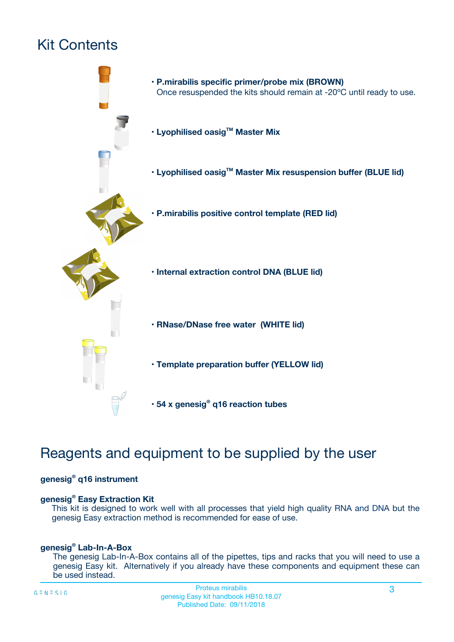# Kit Contents



# Reagents and equipment to be supplied by the user

#### **genesig® q16 instrument**

#### **genesig® Easy Extraction Kit**

This kit is designed to work well with all processes that yield high quality RNA and DNA but the genesig Easy extraction method is recommended for ease of use.

#### **genesig® Lab-In-A-Box**

The genesig Lab-In-A-Box contains all of the pipettes, tips and racks that you will need to use a genesig Easy kit. Alternatively if you already have these components and equipment these can be used instead.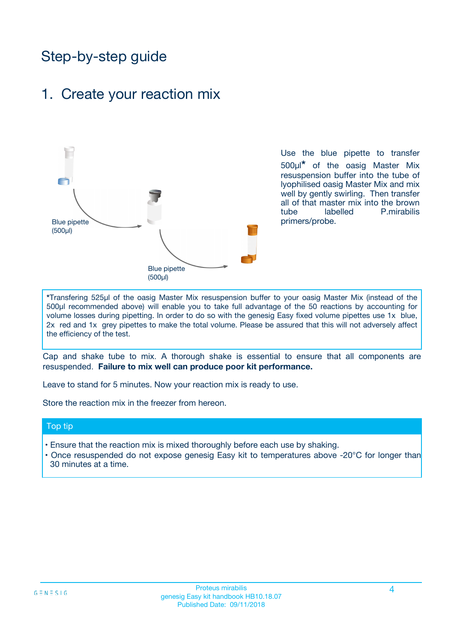# Step-by-step guide

### 1. Create your reaction mix



Use the blue pipette to transfer 500µl**\*** of the oasig Master Mix resuspension buffer into the tube of lyophilised oasig Master Mix and mix well by gently swirling. Then transfer all of that master mix into the brown tube labelled P.mirabilis primers/probe.

**\***Transfering 525µl of the oasig Master Mix resuspension buffer to your oasig Master Mix (instead of the 500µl recommended above) will enable you to take full advantage of the 50 reactions by accounting for volume losses during pipetting. In order to do so with the genesig Easy fixed volume pipettes use 1x blue, 2x red and 1x grey pipettes to make the total volume. Please be assured that this will not adversely affect the efficiency of the test.

Cap and shake tube to mix. A thorough shake is essential to ensure that all components are resuspended. **Failure to mix well can produce poor kit performance.**

Leave to stand for 5 minutes. Now your reaction mix is ready to use.

Store the reaction mix in the freezer from hereon.

#### Top tip

- Ensure that the reaction mix is mixed thoroughly before each use by shaking.
- Once resuspended do not expose genesig Easy kit to temperatures above -20°C for longer than 30 minutes at a time.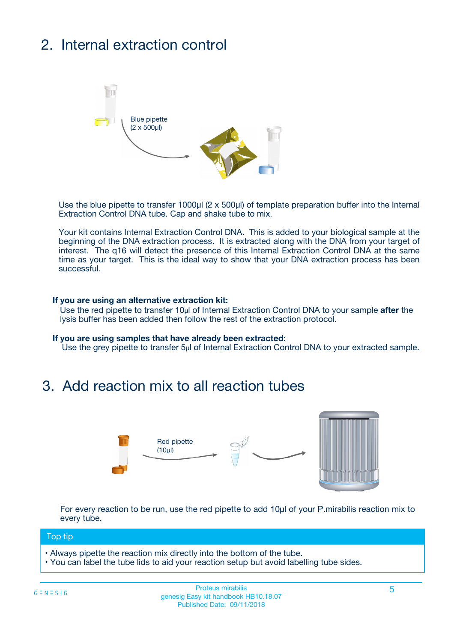# 2. Internal extraction control



Use the blue pipette to transfer 1000µl (2 x 500µl) of template preparation buffer into the Internal Extraction Control DNA tube. Cap and shake tube to mix.

Your kit contains Internal Extraction Control DNA. This is added to your biological sample at the beginning of the DNA extraction process. It is extracted along with the DNA from your target of interest. The q16 will detect the presence of this Internal Extraction Control DNA at the same time as your target. This is the ideal way to show that your DNA extraction process has been successful.

#### **If you are using an alternative extraction kit:**

Use the red pipette to transfer 10µl of Internal Extraction Control DNA to your sample **after** the lysis buffer has been added then follow the rest of the extraction protocol.

#### **If you are using samples that have already been extracted:**

Use the grey pipette to transfer 5µl of Internal Extraction Control DNA to your extracted sample.

### 3. Add reaction mix to all reaction tubes



For every reaction to be run, use the red pipette to add 10µl of your P.mirabilis reaction mix to every tube.

#### Top tip

- Always pipette the reaction mix directly into the bottom of the tube.
- You can label the tube lids to aid your reaction setup but avoid labelling tube sides.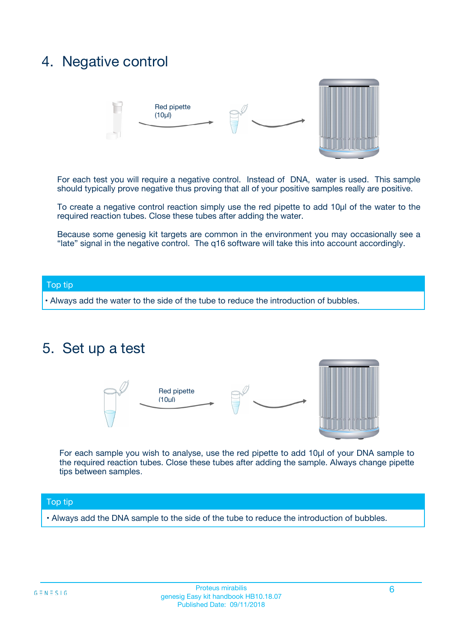### 4. Negative control



For each test you will require a negative control. Instead of DNA, water is used. This sample should typically prove negative thus proving that all of your positive samples really are positive.

To create a negative control reaction simply use the red pipette to add 10µl of the water to the required reaction tubes. Close these tubes after adding the water.

Because some genesig kit targets are common in the environment you may occasionally see a "late" signal in the negative control. The q16 software will take this into account accordingly.

#### Top tip

**•** Always add the water to the side of the tube to reduce the introduction of bubbles.

### 5. Set up a test



For each sample you wish to analyse, use the red pipette to add 10µl of your DNA sample to the required reaction tubes. Close these tubes after adding the sample. Always change pipette tips between samples.

#### Top tip

**•** Always add the DNA sample to the side of the tube to reduce the introduction of bubbles.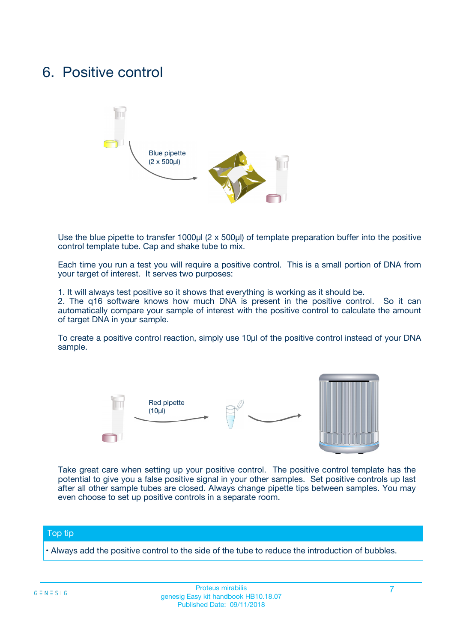### 6. Positive control



Use the blue pipette to transfer 1000µl (2 x 500µl) of template preparation buffer into the positive control template tube. Cap and shake tube to mix.

Each time you run a test you will require a positive control. This is a small portion of DNA from your target of interest. It serves two purposes:

1. It will always test positive so it shows that everything is working as it should be.

2. The q16 software knows how much DNA is present in the positive control. So it can automatically compare your sample of interest with the positive control to calculate the amount of target DNA in your sample.

To create a positive control reaction, simply use 10µl of the positive control instead of your DNA sample.



Take great care when setting up your positive control. The positive control template has the potential to give you a false positive signal in your other samples. Set positive controls up last after all other sample tubes are closed. Always change pipette tips between samples. You may even choose to set up positive controls in a separate room.

#### Top tip

**•** Always add the positive control to the side of the tube to reduce the introduction of bubbles.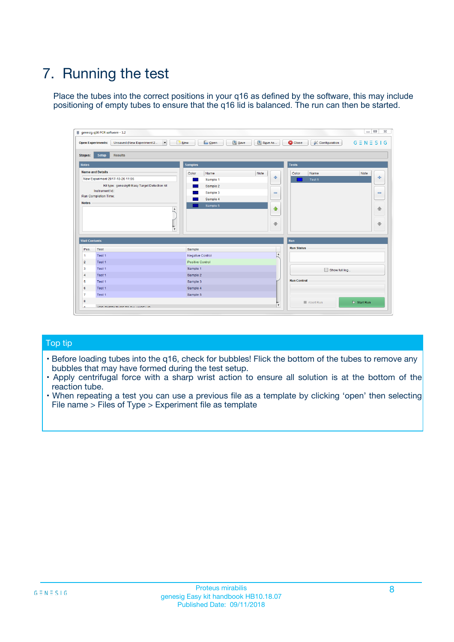# 7. Running the test

Place the tubes into the correct positions in your q16 as defined by the software, this may include positioning of empty tubes to ensure that the q16 lid is balanced. The run can then be started.

| genesig q16 PCR software - 1.2                                               |                                     | $\Box$                                                                                  |
|------------------------------------------------------------------------------|-------------------------------------|-----------------------------------------------------------------------------------------|
| Unsaved (New Experiment 2<br>$\vert \cdot \vert$<br><b>Open Experiments:</b> | <b>D</b> Open<br>Save<br>$\Box$ New | Save As<br><b>C</b> Close<br>$G \equiv N \equiv S \mid G$<br><b>&amp; Configuration</b> |
| Setup<br><b>Results</b><br><b>Stages:</b>                                    |                                     |                                                                                         |
| <b>Notes</b>                                                                 | Samples                             | <b>Tests</b>                                                                            |
| <b>Name and Details</b>                                                      | Color<br>Name                       | Note<br>Color<br>Note<br>Name                                                           |
| New Experiment 2017-10-26 11:06                                              | Sample 1                            | 条<br>علي<br>Test 1                                                                      |
| Kit type: genesig® Easy Target Detection kit                                 | Sample 2                            |                                                                                         |
| Instrument Id.:                                                              | Sample 3                            | $\qquad \qquad \blacksquare$<br>$\qquad \qquad \blacksquare$                            |
| Run Completion Time:                                                         | Sample 4                            |                                                                                         |
| <b>Notes</b>                                                                 | Sample 5<br>A<br>v                  | $\triangle$<br>4<br>$\oplus$<br>₩                                                       |
| <b>Well Contents</b>                                                         |                                     | <b>Run</b>                                                                              |
| Pos.<br>Test                                                                 | Sample                              | <b>Run Status</b>                                                                       |
| Test 1<br>-1                                                                 | <b>Negative Control</b>             | $\blacktriangle$                                                                        |
| $\overline{2}$<br>Test 1                                                     | <b>Positive Control</b>             |                                                                                         |
| $\overline{\mathbf{3}}$<br>Test 1                                            | Sample 1                            | Show full log                                                                           |
| Test 1<br>$\overline{4}$                                                     | Sample 2                            |                                                                                         |
| 5<br>Test 1                                                                  | Sample 3                            | <b>Run Control</b>                                                                      |
| 6<br>Test 1                                                                  | Sample 4                            |                                                                                         |
| $\overline{7}$<br>Test 1                                                     | Sample 5                            |                                                                                         |
| 8                                                                            |                                     | $\triangleright$ Start Run<br>Abort Run                                                 |
| <b>JOD FURTY TUDE TO BUILDED IN</b>                                          |                                     | $\overline{\mathbf{v}}$                                                                 |

#### Top tip

- Before loading tubes into the q16, check for bubbles! Flick the bottom of the tubes to remove any bubbles that may have formed during the test setup.
- Apply centrifugal force with a sharp wrist action to ensure all solution is at the bottom of the reaction tube.
- When repeating a test you can use a previous file as a template by clicking 'open' then selecting File name > Files of Type > Experiment file as template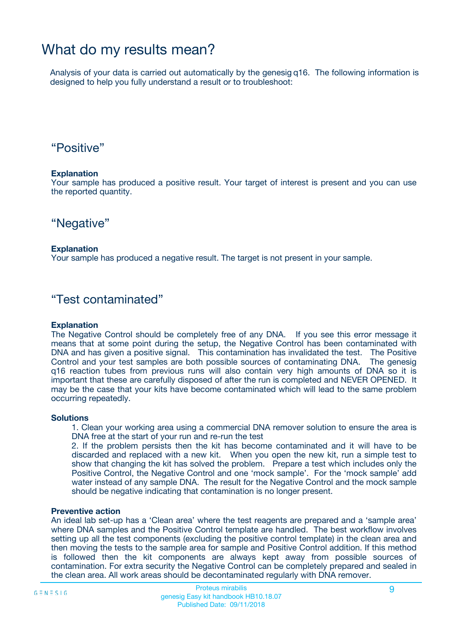## What do my results mean?

Analysis of your data is carried out automatically by the genesig q16. The following information is designed to help you fully understand a result or to troubleshoot:

### "Positive"

#### **Explanation**

Your sample has produced a positive result. Your target of interest is present and you can use the reported quantity.

"Negative"

#### **Explanation**

Your sample has produced a negative result. The target is not present in your sample.

### "Test contaminated"

#### **Explanation**

The Negative Control should be completely free of any DNA. If you see this error message it means that at some point during the setup, the Negative Control has been contaminated with DNA and has given a positive signal. This contamination has invalidated the test. The Positive Control and your test samples are both possible sources of contaminating DNA. The genesig q16 reaction tubes from previous runs will also contain very high amounts of DNA so it is important that these are carefully disposed of after the run is completed and NEVER OPENED. It may be the case that your kits have become contaminated which will lead to the same problem occurring repeatedly.

#### **Solutions**

1. Clean your working area using a commercial DNA remover solution to ensure the area is DNA free at the start of your run and re-run the test

2. If the problem persists then the kit has become contaminated and it will have to be discarded and replaced with a new kit. When you open the new kit, run a simple test to show that changing the kit has solved the problem. Prepare a test which includes only the Positive Control, the Negative Control and one 'mock sample'. For the 'mock sample' add water instead of any sample DNA. The result for the Negative Control and the mock sample should be negative indicating that contamination is no longer present.

#### **Preventive action**

An ideal lab set-up has a 'Clean area' where the test reagents are prepared and a 'sample area' where DNA samples and the Positive Control template are handled. The best workflow involves setting up all the test components (excluding the positive control template) in the clean area and then moving the tests to the sample area for sample and Positive Control addition. If this method is followed then the kit components are always kept away from possible sources of contamination. For extra security the Negative Control can be completely prepared and sealed in the clean area. All work areas should be decontaminated regularly with DNA remover.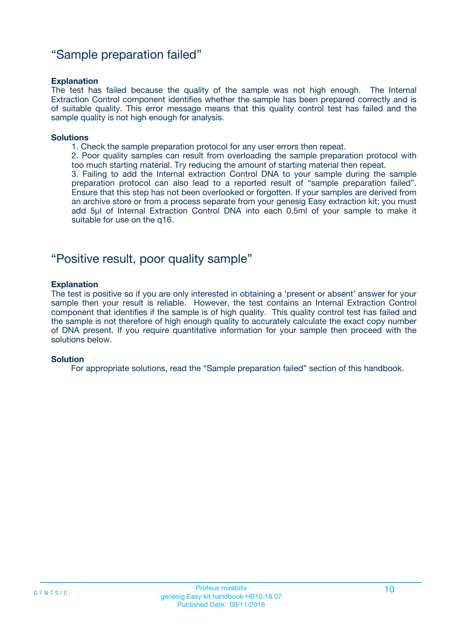### "Sample preparation failed"

#### **Explanation**

The test has failed because the quality of the sample was not high enough. The Internal Extraction Control component identifies whether the sample has been prepared correctly and is of suitable quality. This error message means that this quality control test has failed and the sample quality is not high enough for analysis.

#### **Solutions**

1. Check the sample preparation protocol for any user errors then repeat.

2. Poor quality samples can result from overloading the sample preparation protocol with too much starting material. Try reducing the amount of starting material then repeat.

3. Failing to add the Internal extraction Control DNA to your sample during the sample preparation protocol can also lead to a reported result of "sample preparation failed". Ensure that this step has not been overlooked or forgotten. If your samples are derived from an archive store or from a process separate from your genesig Easy extraction kit; you must add 5µl of Internal Extraction Control DNA into each 0.5ml of your sample to make it suitable for use on the q16.

### "Positive result, poor quality sample"

#### **Explanation**

The test is positive so if you are only interested in obtaining a 'present or absent' answer for your sample then your result is reliable. However, the test contains an Internal Extraction Control component that identifies if the sample is of high quality. This quality control test has failed and the sample is not therefore of high enough quality to accurately calculate the exact copy number of DNA present. If you require quantitative information for your sample then proceed with the solutions below.

#### **Solution**

For appropriate solutions, read the "Sample preparation failed" section of this handbook.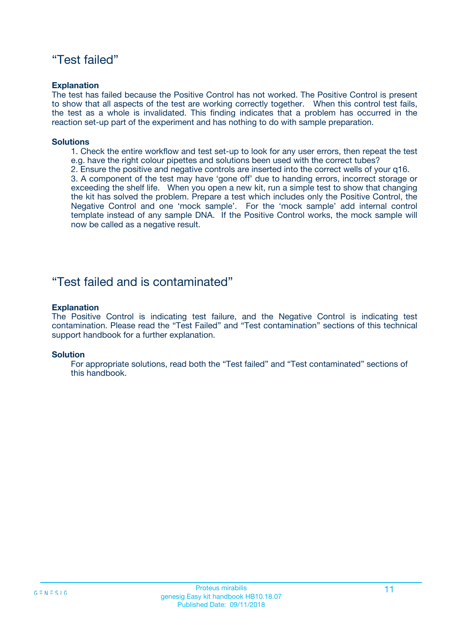### "Test failed"

#### **Explanation**

The test has failed because the Positive Control has not worked. The Positive Control is present to show that all aspects of the test are working correctly together. When this control test fails, the test as a whole is invalidated. This finding indicates that a problem has occurred in the reaction set-up part of the experiment and has nothing to do with sample preparation.

#### **Solutions**

- 1. Check the entire workflow and test set-up to look for any user errors, then repeat the test e.g. have the right colour pipettes and solutions been used with the correct tubes?
- 2. Ensure the positive and negative controls are inserted into the correct wells of your q16.

3. A component of the test may have 'gone off' due to handing errors, incorrect storage or exceeding the shelf life. When you open a new kit, run a simple test to show that changing the kit has solved the problem. Prepare a test which includes only the Positive Control, the Negative Control and one 'mock sample'. For the 'mock sample' add internal control template instead of any sample DNA. If the Positive Control works, the mock sample will now be called as a negative result.

### "Test failed and is contaminated"

#### **Explanation**

The Positive Control is indicating test failure, and the Negative Control is indicating test contamination. Please read the "Test Failed" and "Test contamination" sections of this technical support handbook for a further explanation.

#### **Solution**

For appropriate solutions, read both the "Test failed" and "Test contaminated" sections of this handbook.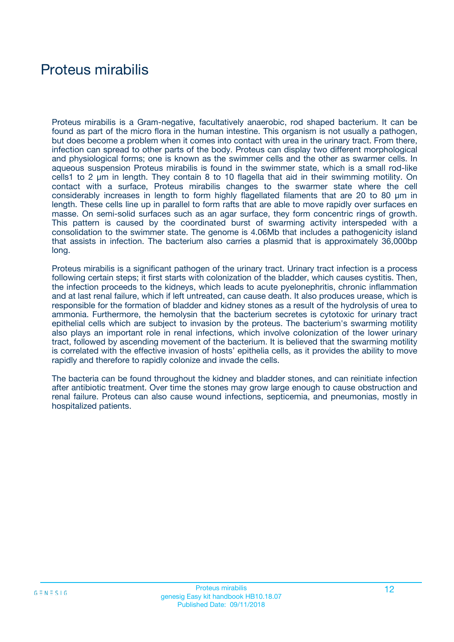## Proteus mirabilis

Proteus mirabilis is a Gram-negative, facultatively anaerobic, rod shaped bacterium. It can be found as part of the micro flora in the human intestine. This organism is not usually a pathogen, but does become a problem when it comes into contact with urea in the urinary tract. From there, infection can spread to other parts of the body. Proteus can display two different morphological and physiological forms; one is known as the swimmer cells and the other as swarmer cells. In aqueous suspension Proteus mirabilis is found in the swimmer state, which is a small rod-like cells1 to 2 μm in length. They contain 8 to 10 flagella that aid in their swimming motility. On contact with a surface, Proteus mirabilis changes to the swarmer state where the cell considerably increases in length to form highly flagellated filaments that are 20 to 80 μm in length. These cells line up in parallel to form rafts that are able to move rapidly over surfaces en masse. On semi-solid surfaces such as an agar surface, they form concentric rings of growth. This pattern is caused by the coordinated burst of swarming activity interspeded with a consolidation to the swimmer state. The genome is 4.06Mb that includes a pathogenicity island that assists in infection. The bacterium also carries a plasmid that is approximately 36,000bp long.

Proteus mirabilis is a significant pathogen of the urinary tract. Urinary tract infection is a process following certain steps; it first starts with colonization of the bladder, which causes cystitis. Then, the infection proceeds to the kidneys, which leads to acute pyelonephritis, chronic inflammation and at last renal failure, which if left untreated, can cause death. It also produces urease, which is responsible for the formation of bladder and kidney stones as a result of the hydrolysis of urea to ammonia. Furthermore, the hemolysin that the bacterium secretes is cytotoxic for urinary tract epithelial cells which are subject to invasion by the proteus. The bacterium's swarming motility also plays an important role in renal infections, which involve colonization of the lower urinary tract, followed by ascending movement of the bacterium. It is believed that the swarming motility is correlated with the effective invasion of hosts' epithelia cells, as it provides the ability to move rapidly and therefore to rapidly colonize and invade the cells.

The bacteria can be found throughout the kidney and bladder stones, and can reinitiate infection after antibiotic treatment. Over time the stones may grow large enough to cause obstruction and renal failure. Proteus can also cause wound infections, septicemia, and pneumonias, mostly in hospitalized patients.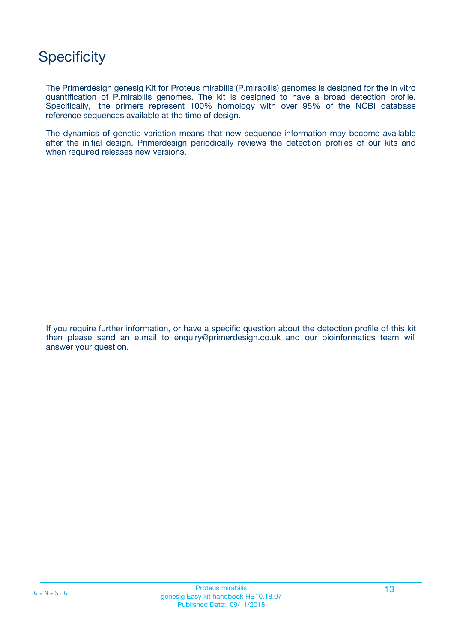# **Specificity**

The Primerdesign genesig Kit for Proteus mirabilis (P.mirabilis) genomes is designed for the in vitro quantification of P.mirabilis genomes. The kit is designed to have a broad detection profile. Specifically, the primers represent 100% homology with over 95% of the NCBI database reference sequences available at the time of design.

The dynamics of genetic variation means that new sequence information may become available after the initial design. Primerdesign periodically reviews the detection profiles of our kits and when required releases new versions.

If you require further information, or have a specific question about the detection profile of this kit then please send an e.mail to enquiry@primerdesign.co.uk and our bioinformatics team will answer your question.